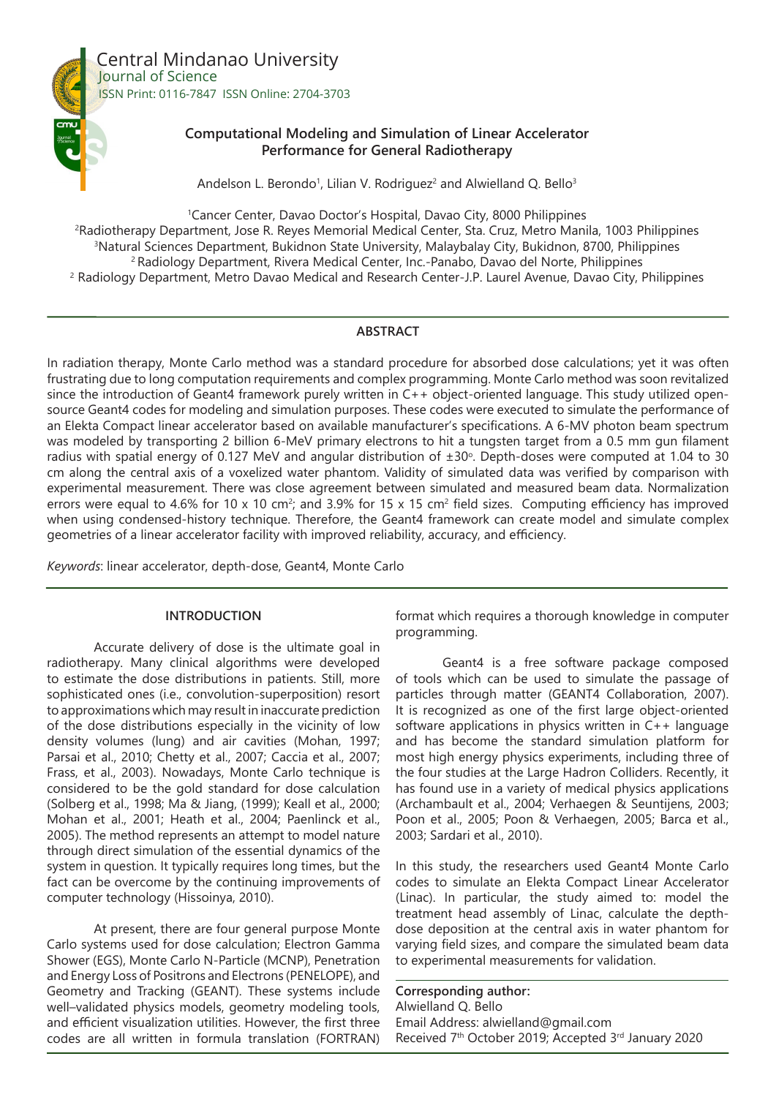

**Computational Modeling and Simulation of Linear Accelerator Performance for General Radiotherapy**

Andelson L. Berondo<sup>1</sup>, Lilian V. Rodriguez<sup>2</sup> and Alwielland Q. Bello<sup>3</sup>

 Cancer Center, Davao Doctor's Hospital, Davao City, 8000 Philippines Radiotherapy Department, Jose R. Reyes Memorial Medical Center, Sta. Cruz, Metro Manila, 1003 Philippines Natural Sciences Department, Bukidnon State University, Malaybalay City, Bukidnon, 8700, Philippines 2 Radiology Department, Rivera Medical Center, Inc.-Panabo, Davao del Norte, Philippines Radiology Department, Metro Davao Medical and Research Center-J.P. Laurel Avenue, Davao City, Philippines

## **ABSTRACT**

In radiation therapy, Monte Carlo method was a standard procedure for absorbed dose calculations; yet it was often frustrating due to long computation requirements and complex programming. Monte Carlo method was soon revitalized since the introduction of Geant4 framework purely written in C++ object-oriented language. This study utilized opensource Geant4 codes for modeling and simulation purposes. These codes were executed to simulate the performance of an Elekta Compact linear accelerator based on available manufacturer's specifications. A 6-MV photon beam spectrum was modeled by transporting 2 billion 6-MeV primary electrons to hit a tungsten target from a 0.5 mm gun filament radius with spatial energy of 0.127 MeV and angular distribution of  $\pm 30^\circ$ . Depth-doses were computed at 1.04 to 30 cm along the central axis of a voxelized water phantom. Validity of simulated data was verified by comparison with experimental measurement. There was close agreement between simulated and measured beam data. Normalization errors were equal to 4.6% for 10 x 10 cm<sup>2</sup>; and 3.9% for 15 x 15 cm<sup>2</sup> field sizes. Computing efficiency has improved when using condensed-history technique. Therefore, the Geant4 framework can create model and simulate complex geometries of a linear accelerator facility with improved reliability, accuracy, and efficiency.

*Keywords*: linear accelerator, depth-dose, Geant4, Monte Carlo

# **INTRODUCTION**

Accurate delivery of dose is the ultimate goal in radiotherapy. Many clinical algorithms were developed to estimate the dose distributions in patients. Still, more sophisticated ones (i.e., convolution-superposition) resort to approximations which may result in inaccurate prediction of the dose distributions especially in the vicinity of low density volumes (lung) and air cavities (Mohan, 1997; Parsai et al., 2010; Chetty et al., 2007; Caccia et al., 2007; Frass, et al., 2003). Nowadays, Monte Carlo technique is considered to be the gold standard for dose calculation (Solberg et al., 1998; Ma & Jiang, (1999); Keall et al., 2000; Mohan et al., 2001; Heath et al., 2004; Paenlinck et al., 2005). The method represents an attempt to model nature through direct simulation of the essential dynamics of the system in question. It typically requires long times, but the fact can be overcome by the continuing improvements of computer technology (Hissoinya, 2010).

At present, there are four general purpose Monte Carlo systems used for dose calculation; Electron Gamma Shower (EGS), Monte Carlo N-Particle (MCNP), Penetration and Energy Loss of Positrons and Electrons (PENELOPE), and Geometry and Tracking (GEANT). These systems include well–validated physics models, geometry modeling tools, and efficient visualization utilities. However, the first three codes are all written in formula translation (FORTRAN)

format which requires a thorough knowledge in computer programming.

Geant4 is a free software package composed of tools which can be used to simulate the passage of particles through matter (GEANT4 Collaboration, 2007). It is recognized as one of the first large object-oriented software applications in physics written in C++ language and has become the standard simulation platform for most high energy physics experiments, including three of the four studies at the Large Hadron Colliders. Recently, it has found use in a variety of medical physics applications (Archambault et al., 2004; Verhaegen & Seuntijens, 2003; Poon et al., 2005; Poon & Verhaegen, 2005; Barca et al., 2003; Sardari et al., 2010).

In this study, the researchers used Geant4 Monte Carlo codes to simulate an Elekta Compact Linear Accelerator (Linac). In particular, the study aimed to: model the treatment head assembly of Linac, calculate the depthdose deposition at the central axis in water phantom for varying field sizes, and compare the simulated beam data to experimental measurements for validation.

**Corresponding author:** Alwielland Q. Bello Email Address: alwielland@gmail.com Received 7th October 2019; Accepted 3rd January 2020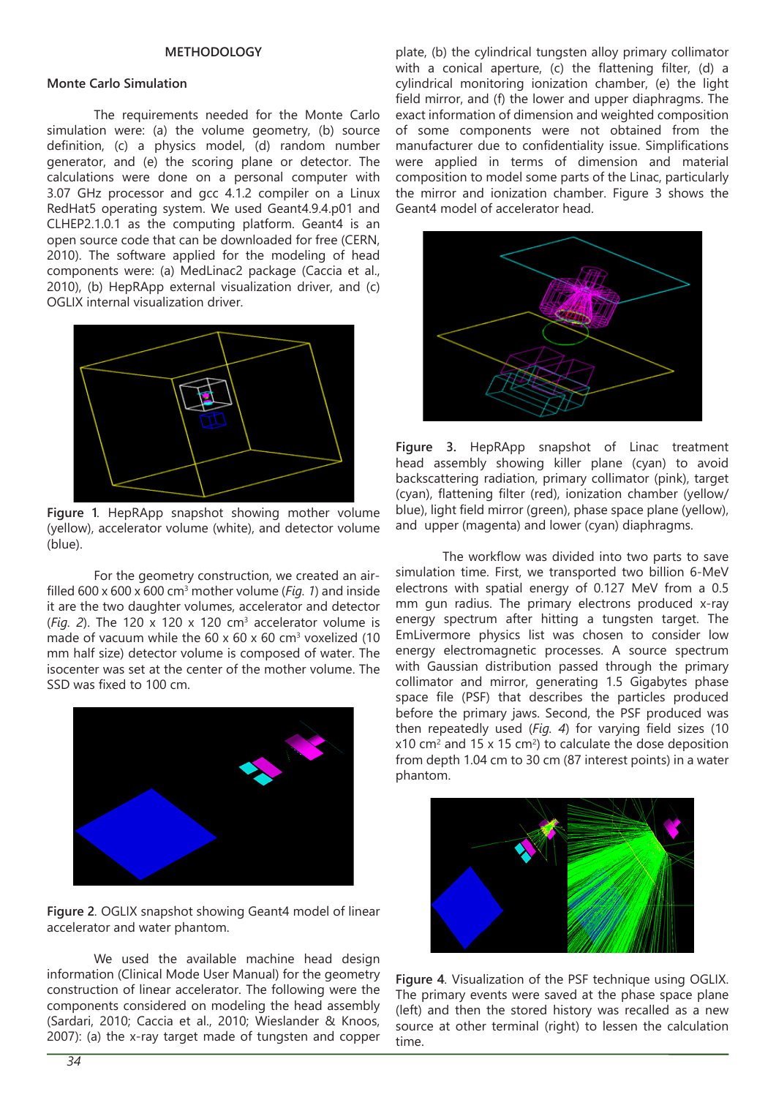#### **METHODOLOGY**

## **Monte Carlo Simulation**

The requirements needed for the Monte Carlo simulation were: (a) the volume geometry, (b) source definition, (c) a physics model, (d) random number generator, and (e) the scoring plane or detector. The calculations were done on a personal computer with 3.07 GHz processor and gcc 4.1.2 compiler on a Linux RedHat5 operating system. We used Geant4.9.4.p01 and CLHEP2.1.0.1 as the computing platform. Geant4 is an open source code that can be downloaded for free (CERN, 2010). The software applied for the modeling of head components were: (a) MedLinac2 package (Caccia et al., 2010), (b) HepRApp external visualization driver, and (c) OGLIX internal visualization driver.



**Figure 1***.* HepRApp snapshot showing mother volume (yellow), accelerator volume (white), and detector volume (blue).

For the geometry construction, we created an airfilled 600 x 600 x 600 cm<sup>3</sup> mother volume (*Fig. 1*) and inside it are the two daughter volumes, accelerator and detector  $(Fig. 2)$ . The 120 x 120 x 120 cm<sup>3</sup> accelerator volume is made of vacuum while the  $60 \times 60 \times 60$  cm<sup>3</sup> voxelized (10 mm half size) detector volume is composed of water. The isocenter was set at the center of the mother volume. The SSD was fixed to 100 cm.



**Figure 2***.* OGLIX snapshot showing Geant4 model of linear accelerator and water phantom.

We used the available machine head design information (Clinical Mode User Manual) for the geometry construction of linear accelerator. The following were the components considered on modeling the head assembly (Sardari, 2010; Caccia et al., 2010; Wieslander & Knoos, 2007): (a) the x-ray target made of tungsten and copper plate, (b) the cylindrical tungsten alloy primary collimator with a conical aperture, (c) the flattening filter, (d) a cylindrical monitoring ionization chamber, (e) the light field mirror, and (f) the lower and upper diaphragms. The exact information of dimension and weighted composition of some components were not obtained from the manufacturer due to confidentiality issue. Simplifications were applied in terms of dimension and material composition to model some parts of the Linac, particularly the mirror and ionization chamber. Figure 3 shows the Geant4 model of accelerator head.



**Figure 3.** HepRApp snapshot of Linac treatment head assembly showing killer plane (cyan) to avoid backscattering radiation, primary collimator (pink), target (cyan), flattening filter (red), ionization chamber (yellow/ blue), light field mirror (green), phase space plane (yellow), and upper (magenta) and lower (cyan) diaphragms.

The workflow was divided into two parts to save simulation time. First, we transported two billion 6-MeV electrons with spatial energy of 0.127 MeV from a 0.5 mm gun radius. The primary electrons produced x-ray energy spectrum after hitting a tungsten target. The EmLivermore physics list was chosen to consider low energy electromagnetic processes. A source spectrum with Gaussian distribution passed through the primary collimator and mirror, generating 1.5 Gigabytes phase space file (PSF) that describes the particles produced before the primary jaws. Second, the PSF produced was then repeatedly used (*Fig. 4*) for varying field sizes (10  $x10$  cm<sup>2</sup> and 15 x 15 cm<sup>2</sup>) to calculate the dose deposition from depth 1.04 cm to 30 cm (87 interest points) in a water phantom.



**Figure 4***.* Visualization of the PSF technique using OGLIX. The primary events were saved at the phase space plane (left) and then the stored history was recalled as a new source at other terminal (right) to lessen the calculation time.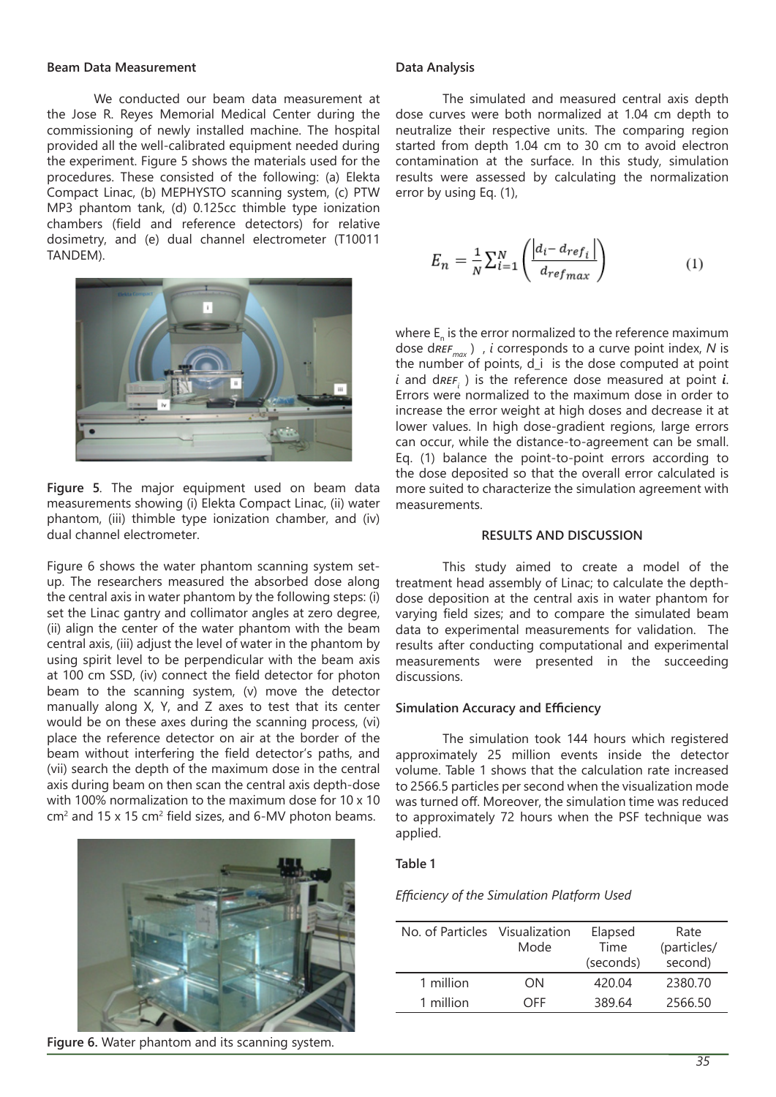#### **Beam Data Measurement**

We conducted our beam data measurement at the Jose R. Reyes Memorial Medical Center during the commissioning of newly installed machine. The hospital provided all the well-calibrated equipment needed during the experiment. Figure 5 shows the materials used for the procedures. These consisted of the following: (a) Elekta Compact Linac, (b) MEPHYSTO scanning system, (c) PTW MP3 phantom tank, (d) 0.125cc thimble type ionization chambers (field and reference detectors) for relative dosimetry, and (e) dual channel electrometer (T10011 TANDEM).



**Figure 5***.* The major equipment used on beam data measurements showing (i) Elekta Compact Linac, (ii) water phantom, (iii) thimble type ionization chamber, and (iv) dual channel electrometer.

Figure 6 shows the water phantom scanning system setup. The researchers measured the absorbed dose along the central axis in water phantom by the following steps: (i) set the Linac gantry and collimator angles at zero degree, (ii) align the center of the water phantom with the beam central axis, (iii) adjust the level of water in the phantom by using spirit level to be perpendicular with the beam axis at 100 cm SSD, (iv) connect the field detector for photon beam to the scanning system, (v) move the detector manually along X, Y, and Z axes to test that its center would be on these axes during the scanning process, (vi) place the reference detector on air at the border of the beam without interfering the field detector's paths, and (vii) search the depth of the maximum dose in the central axis during beam on then scan the central axis depth-dose with 100% normalization to the maximum dose for 10 x 10  $\text{cm}^2$  and 15 x 15 cm<sup>2</sup> field sizes, and 6-MV photon beams.



**Figure 6.** Water phantom and its scanning system.

### **Data Analysis**

The simulated and measured central axis depth dose curves were both normalized at 1.04 cm depth to neutralize their respective units. The comparing region started from depth 1.04 cm to 30 cm to avoid electron contamination at the surface. In this study, simulation results were assessed by calculating the normalization error by using Eq. (1),

$$
E_n = \frac{1}{N} \sum_{i=1}^{N} \left( \frac{|d_i - d_{ref_i}|}{d_{refmax}} \right)
$$
 (1)

where  $\mathsf{E}_{\sf n}$  is the error normalized to the reference maximum dose d*refmax* ) , *i* corresponds to a curve point index, *N* is the number of points,  $d_i$  is the dose computed at point  $i$  and d $\textit{REF}_{i}$  ) is the reference dose measured at point  $i$ . Errors were normalized to the maximum dose in order to increase the error weight at high doses and decrease it at lower values. In high dose-gradient regions, large errors can occur, while the distance-to-agreement can be small. Eq. (1) balance the point-to-point errors according to the dose deposited so that the overall error calculated is more suited to characterize the simulation agreement with measurements.

### **RESULTS AND DISCUSSION**

This study aimed to create a model of the treatment head assembly of Linac; to calculate the depthdose deposition at the central axis in water phantom for varying field sizes; and to compare the simulated beam data to experimental measurements for validation. The results after conducting computational and experimental measurements were presented in the succeeding discussions.

### **Simulation Accuracy and Efficiency**

The simulation took 144 hours which registered approximately 25 million events inside the detector volume. Table 1 shows that the calculation rate increased to 2566.5 particles per second when the visualization mode was turned off. Moreover, the simulation time was reduced to approximately 72 hours when the PSF technique was applied.

### **Table 1**

#### *Efficiency of the Simulation Platform Used*

| No. of Particles Visualization | Mode | Elapsed<br>Time<br>(seconds) | Rate<br>(particles/<br>second) |
|--------------------------------|------|------------------------------|--------------------------------|
| 1 million                      | ON   | 420.04                       | 2380.70                        |
| 1 million                      | OFF  | 389.64                       | 2566.50                        |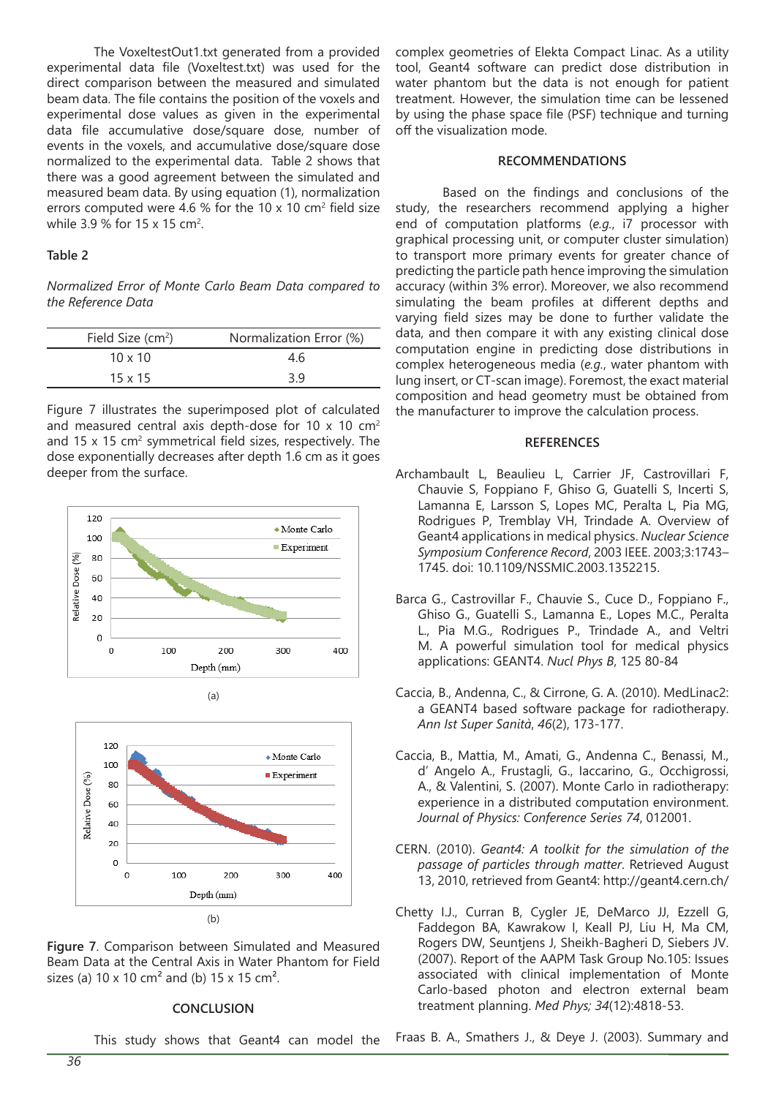The VoxeltestOut1.txt generated from a provided experimental data file (Voxeltest.txt) was used for the direct comparison between the measured and simulated beam data. The file contains the position of the voxels and experimental dose values as given in the experimental data file accumulative dose/square dose, number of events in the voxels, and accumulative dose/square dose normalized to the experimental data. Table 2 shows that there was a good agreement between the simulated and measured beam data. By using equation (1), normalization errors computed were 4.6 % for the 10 x 10 cm<sup>2</sup> field size while 3.9 % for 15 x 15 cm<sup>2</sup>.

### **Table 2**

*Normalized Error of Monte Carlo Beam Data compared to the Reference Data*

| Field Size $(cm2)$  | Normalization Error (%) |
|---------------------|-------------------------|
| $10 \times 10^{-7}$ | 4.6                     |
| $15 \times 15$      | 3.9                     |

Figure 7 illustrates the superimposed plot of calculated and measured central axis depth-dose for 10  $\times$  10  $\times$   $^{2}$ and 15 x 15 cm<sup>2</sup> symmetrical field sizes, respectively. The dose exponentially decreases after depth 1.6 cm as it goes deeper from the surface.



(a)



**Figure 7**. Comparison between Simulated and Measured Beam Data at the Central Axis in Water Phantom for Field sizes (a)  $10 \times 10$  cm<sup>2</sup> and (b)  $15 \times 15$  cm<sup>2</sup>.

#### **CONCLUSION**

complex geometries of Elekta Compact Linac. As a utility tool, Geant4 software can predict dose distribution in water phantom but the data is not enough for patient treatment. However, the simulation time can be lessened by using the phase space file (PSF) technique and turning off the visualization mode.

#### **RECOMMENDATIONS**

Based on the findings and conclusions of the study, the researchers recommend applying a higher end of computation platforms (*e.g.*, i7 processor with graphical processing unit, or computer cluster simulation) to transport more primary events for greater chance of predicting the particle path hence improving the simulation accuracy (within 3% error). Moreover, we also recommend simulating the beam profiles at different depths and varying field sizes may be done to further validate the data, and then compare it with any existing clinical dose computation engine in predicting dose distributions in complex heterogeneous media (*e.g.*, water phantom with lung insert, or CT-scan image). Foremost, the exact material composition and head geometry must be obtained from the manufacturer to improve the calculation process.

#### **REFERENCES**

- Archambault L, Beaulieu L, Carrier JF, Castrovillari F, Chauvie S, Foppiano F, Ghiso G, Guatelli S, Incerti S, Lamanna E, Larsson S, Lopes MC, Peralta L, Pia MG, Rodrigues P, Tremblay VH, Trindade A. Overview of Geant4 applications in medical physics. *Nuclear Science Symposium Conference Record*, 2003 IEEE. 2003;3:1743– 1745. doi: 10.1109/NSSMIC.2003.1352215.
- Barca G., Castrovillar F., Chauvie S., Cuce D., Foppiano F., Ghiso G., Guatelli S., Lamanna E., Lopes M.C., Peralta L., Pia M.G., Rodrigues P., Trindade A., and Veltri M. A powerful simulation tool for medical physics applications: GEANT4. *Nucl Phys B*, 125 80-84
- Caccia, B., Andenna, C., & Cirrone, G. A. (2010). MedLinac2: a GEANT4 based software package for radiotherapy. *Ann Ist Super Sanità*, *46*(2), 173-177.
- Caccia, B., Mattia, M., Amati, G., Andenna C., Benassi, M., d' Angelo A., Frustagli, G., Iaccarino, G., Occhigrossi, A., & Valentini, S. (2007). Monte Carlo in radiotherapy: experience in a distributed computation environment. *Journal of Physics: Conference Series 74*, 012001.
- CERN. (2010). *Geant4: A toolkit for the simulation of the passage of particles through matter*. Retrieved August 13, 2010, retrieved from Geant4: http://geant4.cern.ch/
- Chetty I.J., Curran B, Cygler JE, DeMarco JJ, Ezzell G, Faddegon BA, Kawrakow I, Keall PJ, Liu H, Ma CM, Rogers DW, Seuntjens J, Sheikh-Bagheri D, Siebers JV. (2007). Report of the AAPM Task Group No.105: Issues associated with clinical implementation of Monte Carlo-based photon and electron external beam treatment planning. *Med Phys; 34*(12):4818-53.

This study shows that Geant4 can model the Fraas B. A., Smathers J., & Deye J. (2003). Summary and